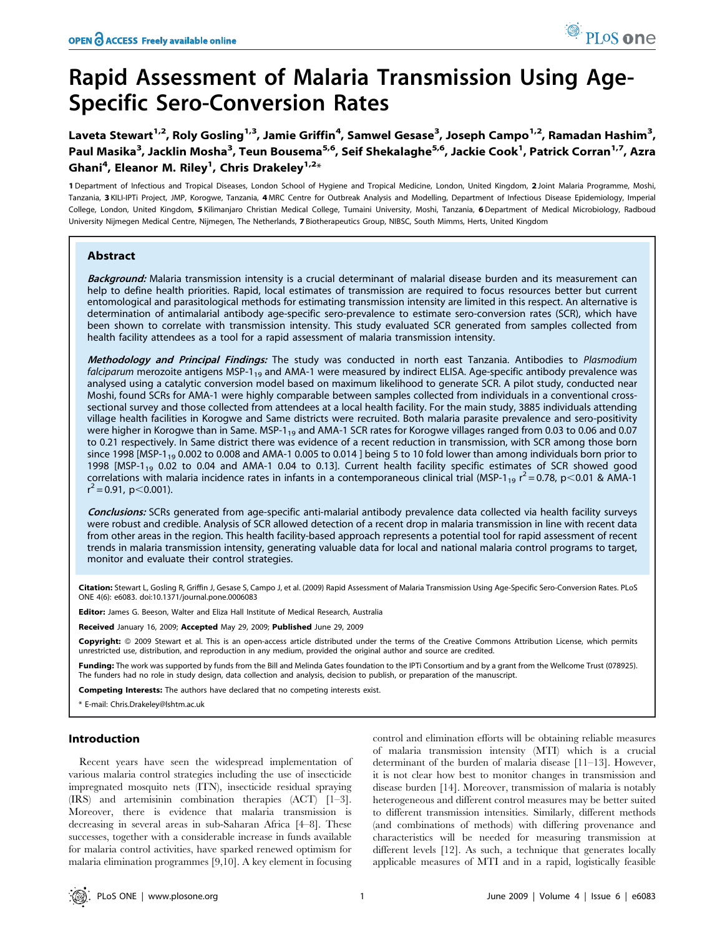# Rapid Assessment of Malaria Transmission Using Age-Specific Sero-Conversion Rates

Laveta Stewart<sup>1,2</sup>, Roly Gosling<sup>1,3</sup>, Jamie Griffin<sup>4</sup>, Samwel Gesase<sup>3</sup>, Joseph Campo<sup>1,2</sup>, Ramadan Hashim<sup>3</sup>, Paul Masika<sup>3</sup>, Jacklin Mosha<sup>3</sup>, Teun Bousema<sup>5,6</sup>, Seif Shekalaghe<sup>5,6</sup>, Jackie Cook<sup>1</sup>, Patrick Corran<sup>1,7</sup>, Azra Ghani $^4$ , Eleanor M. Riley $^1$ , Chris Drakeley $^{1,2\ast}$ 

1 Department of Infectious and Tropical Diseases, London School of Hygiene and Tropical Medicine, London, United Kingdom, 2 Joint Malaria Programme, Moshi, Tanzania, 3 KILI-IPTi Project, JMP, Korogwe, Tanzania, 4 MRC Centre for Outbreak Analysis and Modelling, Department of Infectious Disease Epidemiology, Imperial College, London, United Kingdom, 5 Kilimanjaro Christian Medical College, Tumaini University, Moshi, Tanzania, 6 Department of Medical Microbiology, Radboud University Nijmegen Medical Centre, Nijmegen, The Netherlands, 7 Biotherapeutics Group, NIBSC, South Mimms, Herts, United Kingdom

## Abstract

Background: Malaria transmission intensity is a crucial determinant of malarial disease burden and its measurement can help to define health priorities. Rapid, local estimates of transmission are required to focus resources better but current entomological and parasitological methods for estimating transmission intensity are limited in this respect. An alternative is determination of antimalarial antibody age-specific sero-prevalence to estimate sero-conversion rates (SCR), which have been shown to correlate with transmission intensity. This study evaluated SCR generated from samples collected from health facility attendees as a tool for a rapid assessment of malaria transmission intensity.

Methodology and Principal Findings: The study was conducted in north east Tanzania. Antibodies to Plasmodium falciparum merozoite antigens MSP-1<sub>19</sub> and AMA-1 were measured by indirect ELISA. Age-specific antibody prevalence was analysed using a catalytic conversion model based on maximum likelihood to generate SCR. A pilot study, conducted near Moshi, found SCRs for AMA-1 were highly comparable between samples collected from individuals in a conventional crosssectional survey and those collected from attendees at a local health facility. For the main study, 3885 individuals attending village health facilities in Korogwe and Same districts were recruited. Both malaria parasite prevalence and sero-positivity were higher in Korogwe than in Same. MSP-1<sub>19</sub> and AMA-1 SCR rates for Korogwe villages ranged from 0.03 to 0.06 and 0.07 to 0.21 respectively. In Same district there was evidence of a recent reduction in transmission, with SCR among those born since 1998 [MSP-1<sub>19</sub> 0.002 to 0.008 and AMA-1 0.005 to 0.014 ] being 5 to 10 fold lower than among individuals born prior to 1998 [MSP-119 0.02 to 0.04 and AMA-1 0.04 to 0.13]. Current health facility specific estimates of SCR showed good correlations with malaria incidence rates in infants in a contemporaneous clinical trial (MSP-1<sub>19</sub>  $r^2$  = 0.78, p<0.01 & AMA-1  $r^2 = 0.91$ , p < 0.001).

Conclusions: SCRs generated from age-specific anti-malarial antibody prevalence data collected via health facility surveys were robust and credible. Analysis of SCR allowed detection of a recent drop in malaria transmission in line with recent data from other areas in the region. This health facility-based approach represents a potential tool for rapid assessment of recent trends in malaria transmission intensity, generating valuable data for local and national malaria control programs to target, monitor and evaluate their control strategies.

Citation: Stewart L, Gosling R, Griffin J, Gesase S, Campo J, et al. (2009) Rapid Assessment of Malaria Transmission Using Age-Specific Sero-Conversion Rates. PLoS ONE 4(6): e6083. doi:10.1371/journal.pone.0006083

Editor: James G. Beeson, Walter and Eliza Hall Institute of Medical Research, Australia

Received January 16, 2009; Accepted May 29, 2009; Published June 29, 2009

Copyright: @ 2009 Stewart et al. This is an open-access article distributed under the terms of the Creative Commons Attribution License, which permits unrestricted use, distribution, and reproduction in any medium, provided the original author and source are credited.

Funding: The work was supported by funds from the Bill and Melinda Gates foundation to the IPTi Consortium and by a grant from the Wellcome Trust (078925). The funders had no role in study design, data collection and analysis, decision to publish, or preparation of the manuscript.

Competing Interests: The authors have declared that no competing interests exist.

\* E-mail: Chris.Drakeley@lshtm.ac.uk

## Introduction

Recent years have seen the widespread implementation of various malaria control strategies including the use of insecticide impregnated mosquito nets (ITN), insecticide residual spraying (IRS) and artemisinin combination therapies (ACT) [1–3]. Moreover, there is evidence that malaria transmission is decreasing in several areas in sub-Saharan Africa [4–8]. These successes, together with a considerable increase in funds available for malaria control activities, have sparked renewed optimism for malaria elimination programmes [9,10]. A key element in focusing

control and elimination efforts will be obtaining reliable measures of malaria transmission intensity (MTI) which is a crucial determinant of the burden of malaria disease [11–13]. However, it is not clear how best to monitor changes in transmission and disease burden [14]. Moreover, transmission of malaria is notably heterogeneous and different control measures may be better suited to different transmission intensities. Similarly, different methods (and combinations of methods) with differing provenance and characteristics will be needed for measuring transmission at different levels [12]. As such, a technique that generates locally applicable measures of MTI and in a rapid, logistically feasible

PLoS one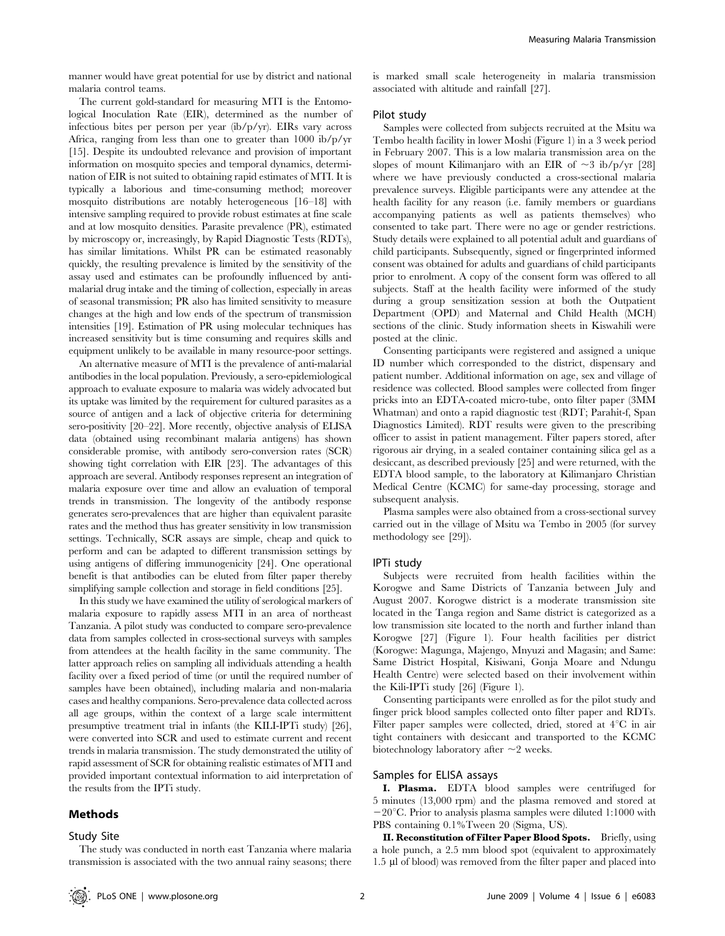manner would have great potential for use by district and national malaria control teams.

The current gold-standard for measuring MTI is the Entomological Inoculation Rate (EIR), determined as the number of infectious bites per person per year (ib/p/yr). EIRs vary across Africa, ranging from less than one to greater than 1000 ib/p/yr [15]. Despite its undoubted relevance and provision of important information on mosquito species and temporal dynamics, determination of EIR is not suited to obtaining rapid estimates of MTI. It is typically a laborious and time-consuming method; moreover mosquito distributions are notably heterogeneous [16–18] with intensive sampling required to provide robust estimates at fine scale and at low mosquito densities. Parasite prevalence (PR), estimated by microscopy or, increasingly, by Rapid Diagnostic Tests (RDTs), has similar limitations. Whilst PR can be estimated reasonably quickly, the resulting prevalence is limited by the sensitivity of the assay used and estimates can be profoundly influenced by antimalarial drug intake and the timing of collection, especially in areas of seasonal transmission; PR also has limited sensitivity to measure changes at the high and low ends of the spectrum of transmission intensities [19]. Estimation of PR using molecular techniques has increased sensitivity but is time consuming and requires skills and equipment unlikely to be available in many resource-poor settings.

An alternative measure of MTI is the prevalence of anti-malarial antibodies in the local population. Previously, a sero-epidemiological approach to evaluate exposure to malaria was widely advocated but its uptake was limited by the requirement for cultured parasites as a source of antigen and a lack of objective criteria for determining sero-positivity [20–22]. More recently, objective analysis of ELISA data (obtained using recombinant malaria antigens) has shown considerable promise, with antibody sero-conversion rates (SCR) showing tight correlation with EIR [23]. The advantages of this approach are several. Antibody responses represent an integration of malaria exposure over time and allow an evaluation of temporal trends in transmission. The longevity of the antibody response generates sero-prevalences that are higher than equivalent parasite rates and the method thus has greater sensitivity in low transmission settings. Technically, SCR assays are simple, cheap and quick to perform and can be adapted to different transmission settings by using antigens of differing immunogenicity [24]. One operational benefit is that antibodies can be eluted from filter paper thereby simplifying sample collection and storage in field conditions [25].

In this study we have examined the utility of serological markers of malaria exposure to rapidly assess MTI in an area of northeast Tanzania. A pilot study was conducted to compare sero-prevalence data from samples collected in cross-sectional surveys with samples from attendees at the health facility in the same community. The latter approach relies on sampling all individuals attending a health facility over a fixed period of time (or until the required number of samples have been obtained), including malaria and non-malaria cases and healthy companions. Sero-prevalence data collected across all age groups, within the context of a large scale intermittent presumptive treatment trial in infants (the KILI-IPTi study) [26], were converted into SCR and used to estimate current and recent trends in malaria transmission. The study demonstrated the utility of rapid assessment of SCR for obtaining realistic estimates of MTI and provided important contextual information to aid interpretation of the results from the IPTi study.

### Methods

## Study Site

is marked small scale heterogeneity in malaria transmission associated with altitude and rainfall [27].

#### Pilot study

Samples were collected from subjects recruited at the Msitu wa Tembo health facility in lower Moshi (Figure 1) in a 3 week period in February 2007. This is a low malaria transmission area on the slopes of mount Kilimanjaro with an EIR of  $\sim$ 3 ib/p/yr [28] where we have previously conducted a cross-sectional malaria prevalence surveys. Eligible participants were any attendee at the health facility for any reason (i.e. family members or guardians accompanying patients as well as patients themselves) who consented to take part. There were no age or gender restrictions. Study details were explained to all potential adult and guardians of child participants. Subsequently, signed or fingerprinted informed consent was obtained for adults and guardians of child participants prior to enrolment. A copy of the consent form was offered to all subjects. Staff at the health facility were informed of the study during a group sensitization session at both the Outpatient Department (OPD) and Maternal and Child Health (MCH) sections of the clinic. Study information sheets in Kiswahili were posted at the clinic.

Consenting participants were registered and assigned a unique ID number which corresponded to the district, dispensary and patient number. Additional information on age, sex and village of residence was collected. Blood samples were collected from finger pricks into an EDTA-coated micro-tube, onto filter paper (3MM Whatman) and onto a rapid diagnostic test (RDT; Parahit-f, Span Diagnostics Limited). RDT results were given to the prescribing officer to assist in patient management. Filter papers stored, after rigorous air drying, in a sealed container containing silica gel as a desiccant, as described previously [25] and were returned, with the EDTA blood sample, to the laboratory at Kilimanjaro Christian Medical Centre (KCMC) for same-day processing, storage and subsequent analysis.

Plasma samples were also obtained from a cross-sectional survey carried out in the village of Msitu wa Tembo in 2005 (for survey methodology see [29]).

#### IPTi study

Subjects were recruited from health facilities within the Korogwe and Same Districts of Tanzania between July and August 2007. Korogwe district is a moderate transmission site located in the Tanga region and Same district is categorized as a low transmission site located to the north and further inland than Korogwe [27] (Figure 1). Four health facilities per district (Korogwe: Magunga, Majengo, Mnyuzi and Magasin; and Same: Same District Hospital, Kisiwani, Gonja Moare and Ndungu Health Centre) were selected based on their involvement within the Kili-IPTi study [26] (Figure 1).

Consenting participants were enrolled as for the pilot study and finger prick blood samples collected onto filter paper and RDTs. Filter paper samples were collected, dried, stored at  $4^{\circ}$ C in air tight containers with desiccant and transported to the KCMC biotechnology laboratory after  $\sim$  2 weeks.

#### Samples for ELISA assays

I. Plasma. EDTA blood samples were centrifuged for 5 minutes (13,000 rpm) and the plasma removed and stored at  $-20^{\circ}$ C. Prior to analysis plasma samples were diluted 1:1000 with PBS containing 0.1%Tween 20 (Sigma, US).

The study was conducted in north east Tanzania where malaria transmission is associated with the two annual rainy seasons; there II. Reconstitution of Filter Paper Blood Spots. Briefly, using a hole punch, a 2.5 mm blood spot (equivalent to approximately 1.5 µl of blood) was removed from the filter paper and placed into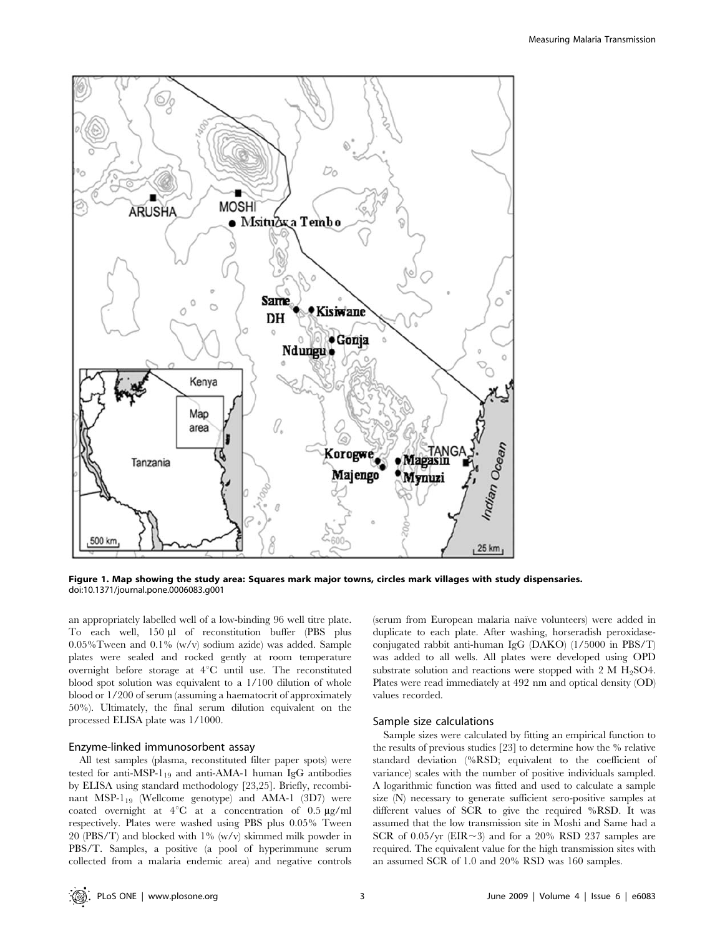

Figure 1. Map showing the study area: Squares mark major towns, circles mark villages with study dispensaries. doi:10.1371/journal.pone.0006083.g001

an appropriately labelled well of a low-binding 96 well titre plate. To each well, 150 µl of reconstitution buffer (PBS plus 0.05%Tween and 0.1% (w/v) sodium azide) was added. Sample plates were sealed and rocked gently at room temperature overnight before storage at  $4^{\circ}$ C until use. The reconstituted blood spot solution was equivalent to a 1/100 dilution of whole blood or 1/200 of serum (assuming a haematocrit of approximately 50%). Ultimately, the final serum dilution equivalent on the processed ELISA plate was 1/1000.

## Enzyme-linked immunosorbent assay

All test samples (plasma, reconstituted filter paper spots) were tested for anti-MSP- $1_{19}$  and anti-AMA-1 human IgG antibodies by ELISA using standard methodology [23,25]. Briefly, recombinant MSP- $1_{19}$  (Wellcome genotype) and AMA-1 (3D7) were coated overnight at  $4^{\circ}$ C at a concentration of 0.5  $\mu$ g/ml respectively. Plates were washed using PBS plus 0.05% Tween 20 (PBS/T) and blocked with 1% (w/v) skimmed milk powder in PBS/T. Samples, a positive (a pool of hyperimmune serum collected from a malaria endemic area) and negative controls (serum from European malaria naïve volunteers) were added in duplicate to each plate. After washing, horseradish peroxidaseconjugated rabbit anti-human IgG (DAKO) (1/5000 in PBS/T) was added to all wells. All plates were developed using OPD substrate solution and reactions were stopped with  $2 M H_2SO4$ . Plates were read immediately at 492 nm and optical density (OD) values recorded.

#### Sample size calculations

Sample sizes were calculated by fitting an empirical function to the results of previous studies [23] to determine how the % relative standard deviation (%RSD; equivalent to the coefficient of variance) scales with the number of positive individuals sampled. A logarithmic function was fitted and used to calculate a sample size (N) necessary to generate sufficient sero-positive samples at different values of SCR to give the required %RSD. It was assumed that the low transmission site in Moshi and Same had a SCR of 0.05/yr (EIR $\sim$ 3) and for a 20% RSD 237 samples are required. The equivalent value for the high transmission sites with an assumed SCR of 1.0 and 20% RSD was 160 samples.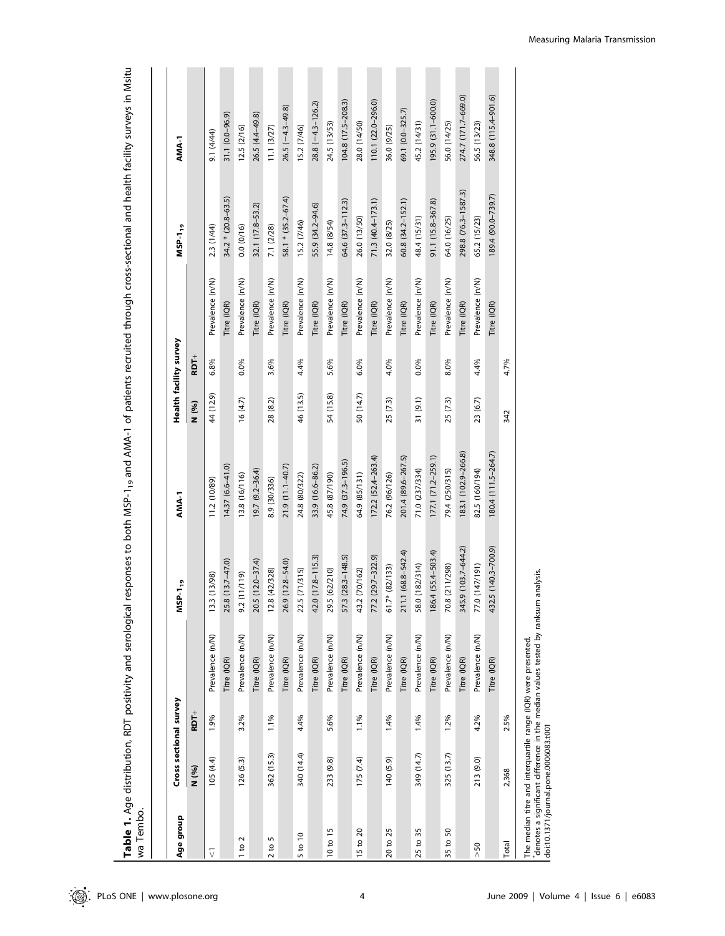| responses to both MSP-1 <sub>19</sub> and AMA-1 of patients recruited through cross-sectional and health facility surveys in Msitu |  |
|------------------------------------------------------------------------------------------------------------------------------------|--|
|                                                                                                                                    |  |
|                                                                                                                                    |  |
|                                                                                                                                    |  |
|                                                                                                                                    |  |
|                                                                                                                                    |  |
|                                                                                                                                    |  |
|                                                                                                                                    |  |
|                                                                                                                                    |  |
|                                                                                                                                    |  |
|                                                                                                                                    |  |
|                                                                                                                                    |  |
|                                                                                                                                    |  |
|                                                                                                                                    |  |
|                                                                                                                                    |  |
|                                                                                                                                    |  |
|                                                                                                                                    |  |
|                                                                                                                                    |  |
|                                                                                                                                    |  |
|                                                                                                                                    |  |
|                                                                                                                                    |  |
|                                                                                                                                    |  |
|                                                                                                                                    |  |
|                                                                                                                                    |  |
| ion DDT pocitivity and corol                                                                                                       |  |
|                                                                                                                                    |  |
|                                                                                                                                    |  |
| $\frac{1}{2}$                                                                                                                      |  |
|                                                                                                                                    |  |
|                                                                                                                                    |  |

| Age group              | Cross sectional survey                |      |                                                                                                                                           | $MSP-1_{19}$             | AMA-1               | Health facility survey |      |                  | MSP-1 <sub>19</sub>    | AMA-1                 |
|------------------------|---------------------------------------|------|-------------------------------------------------------------------------------------------------------------------------------------------|--------------------------|---------------------|------------------------|------|------------------|------------------------|-----------------------|
|                        | N (%)                                 | RDT+ |                                                                                                                                           |                          |                     | N (%)                  | RDT+ |                  |                        |                       |
| $\overline{\vee}$      | 105(4.4)                              | 1.9% | Prevalence (n/N)                                                                                                                          | (13/98)<br>13.3          | 11.2 (10/89)        | 44 (12.9)              | 6.8% | Prevalence (n/N) | 2.3 (1/44)             | 9.1 (4/44)            |
|                        |                                       |      | Titre (IQR)                                                                                                                               | 25.8 (13.7-47.0)         | $14.37(6.6 - 41.0)$ |                        |      | Titre (IQR)      | $34.2 * (20.8 - 63.5)$ | 31.1 (0.0-96.9)       |
| $1$ to $2$             | 126(5.3)                              | 3.2% | Prevalence (n/N)                                                                                                                          | (11/119)<br>9.2          | 13.8 (16/116)       | 16(4.7)                | 0.0% | Prevalence (n/N) | 0.0 (0/16)             | 12.5(2/16)            |
|                        |                                       |      | Titre (IQR)                                                                                                                               | 20.5 (12.0-37.4)         | $19.7(9.2 - 36.4)$  |                        |      | Titre (IQR)      | 32.1 (17.8-53.2)       | 26.5 (4.4-49.8)       |
| S<br>2 to              | 362 (15.3)                            | 1.1% | Prevalence (n/N)                                                                                                                          | 12.8 (42/328)            | 8.9 (30/336)        | 28 (8.2)               | 3.6% | Prevalence (n/N) | 7.1 (2/28)             | 11.1 (3/27)           |
|                        |                                       |      | Titre (IQR)                                                                                                                               | 26.9 (12.8-54.0)         | 21.9 (11.1-40.7)    |                        |      | Titre (IQR)      | 58.1 * (35.2-67.4)     | $26.5 (-4.3 - 49.8)$  |
| $5$ to $10$            | 340 (14.4)                            | 4.4% | Prevalence (n/N)                                                                                                                          | 22.5 (71/315)            | 24.8 (80/322)       | 46 (13.5)              | 4.4% | Prevalence (n/N) | 15.2 (7/46)            | 15.2 (7/46)           |
|                        |                                       |      | Titre (IQR)                                                                                                                               | 42.0 (17.8-115.3)        | 33.9 (16.6-86.2)    |                        |      | Titre (IQR)      | 55.9 (34.2-94.6)       | $28.8 (-4.3 - 126.2)$ |
| 10 to 15               | 233 (9.8)                             | 5.6% | Prevalence (n/N)                                                                                                                          | 29.5 (62/210)            | 45.8 (87/190)       | 54 (15.8)              | 5.6% | Prevalence (n/N) | 14.8(8/54)             | 24.5 (13/53)          |
|                        |                                       |      | Titre (IQR)                                                                                                                               | $(28.3 - 148.5)$<br>573  | 74.9 (37.3-196.5)   |                        |      | Titre (IQR)      | 64.6 (37.3-112.3)      | 104.8 (17.5-208.3)    |
| 15 to 20               | 175(7.4)                              | 1.1% | Prevalence (n/N)                                                                                                                          | (70/162)<br>43.2         | 64.9 (85/131)       | 50 (14.7)              | 6.0% | Prevalence (n/N) | 26.0 (13/50)           | 28.0 (14/50)          |
|                        |                                       |      | Titre (IQR)                                                                                                                               | $(29.7 - 322.9)$<br>77.2 | 172.2 (52.4-263.4)  |                        |      | Titre (IQR)      | 71.3 (40.4-173.1)      | 110.1 (22.0-296.0)    |
| 20 to 25               | 140 (5.9)                             | 1.4% | Prevalence (n/N)                                                                                                                          | $*(82/133)$<br>61.7      | 76.2 (96/126)       | 25 (7.3)               | 4.0% | Prevalence (n/N) | 32.0 (8/25)            | 36.0 (9/25)           |
|                        |                                       |      | Titre (IQR)                                                                                                                               | $1(68.8 - 542.4)$<br>211 | 2014 (89.6-267.5)   |                        |      | Titre (IQR)      | 60.8 (34.2-152.1)      | 69.1 (0.0-325.7)      |
| 25 to 35               | 349 (14.7)                            | 1.4% | Prevalence (n/N)                                                                                                                          | 58.0 (182/314)           | 71.0 (237/334)      | 31 (9.1)               | 0.0% | Prevalence (n/N) | 48.4 (15/31)           | 45.2 (14/31)          |
|                        |                                       |      | Titre (IQR)                                                                                                                               | 186.4 (55.4-503.4)       | 177.1 (71.2-259.1)  |                        |      | Titre (IQR)      | 91.1 (15.8-367.8)      | 195.9 (31.1-600.0)    |
| 50<br>35 <sub>to</sub> | 325 (13.7)                            | 1.2% | Prevalence (n/N)                                                                                                                          | (211/298)<br>70.8        | 79.4 (250/315)      | 25 (7.3)               | 8.0% | Prevalence (n/N) | 64.0 (16/25)           | 56.0 (14/25)          |
|                        |                                       |      | Titre (IQR)                                                                                                                               | 345.9 (103.7-644.2)      | 183.1 (102.9-266.8) |                        |      | Titre (IQR)      | 298.8 (76.3-1587.3)    | 274.7 (171.7-669.0)   |
| $>50$                  | 213 (9.0)                             | 4.2% | Prevalence (n/N)                                                                                                                          | 77.0 (147/191)           | 82.5 (160/194)      | 23(6.7)                | 4.4% | Prevalence (n/N) | 65.2 (15/23)           | 56.5 (13/23)          |
|                        |                                       |      | Titre (IQR)                                                                                                                               | 5 (140.3-700.9)<br>432.  | 180.4 (111.5-264.7) |                        |      | Titre (IQR)      | 189.4 (90.0-739.7)     | 348.8 (115.4-901.6)   |
| Total                  | 2,368                                 | 2.5% |                                                                                                                                           |                          |                     | 342                    | 4.7% |                  |                        |                       |
|                        | doi:10.1371/journal.pone.0006083.t001 |      | denotes a significant difference in the median values tested by ranksum<br>The median titre and interquartile range (IQR) were presented. | analysis.                |                     |                        |      |                  |                        |                       |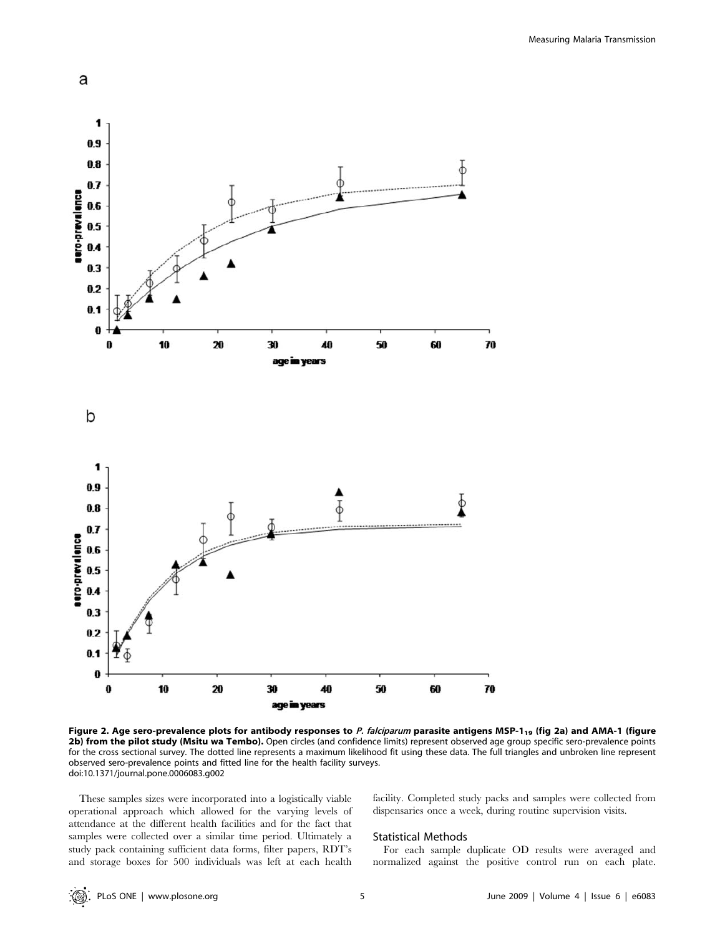

Figure 2. Age sero-prevalence plots for antibody responses to P. falciparum parasite antigens MSP-1<sub>19</sub> (fig 2a) and AMA-1 (figure 2b) from the pilot study (Msitu wa Tembo). Open circles (and confidence limits) represent observed age group specific sero-prevalence points for the cross sectional survey. The dotted line represents a maximum likelihood fit using these data. The full triangles and unbroken line represent observed sero-prevalence points and fitted line for the health facility surveys. doi:10.1371/journal.pone.0006083.g002

These samples sizes were incorporated into a logistically viable operational approach which allowed for the varying levels of attendance at the different health facilities and for the fact that samples were collected over a similar time period. Ultimately a study pack containing sufficient data forms, filter papers, RDT's and storage boxes for 500 individuals was left at each health facility. Completed study packs and samples were collected from dispensaries once a week, during routine supervision visits.

## Statistical Methods

For each sample duplicate OD results were averaged and normalized against the positive control run on each plate.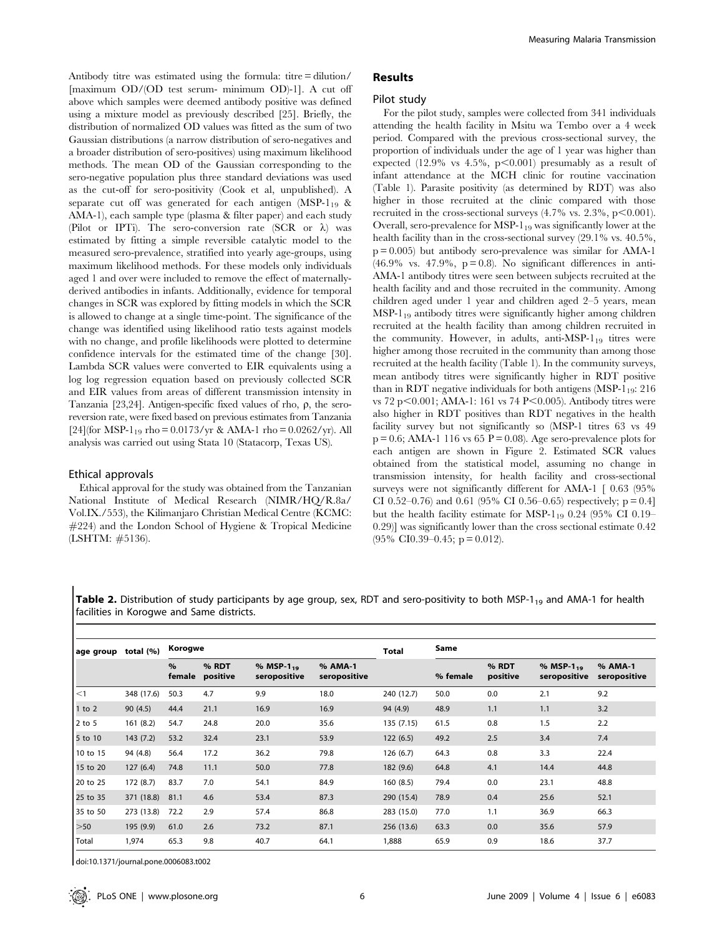Antibody titre was estimated using the formula: titre = dilution/ [maximum OD/(OD test serum- minimum OD)-1]. A cut off above which samples were deemed antibody positive was defined using a mixture model as previously described [25]. Briefly, the distribution of normalized OD values was fitted as the sum of two Gaussian distributions (a narrow distribution of sero-negatives and a broader distribution of sero-positives) using maximum likelihood methods. The mean OD of the Gaussian corresponding to the sero-negative population plus three standard deviations was used as the cut-off for sero-positivity (Cook et al, unpublished). A separate cut off was generated for each antigen (MSP-1<sub>19</sub> & AMA-1), each sample type (plasma & filter paper) and each study (Pilot or IPTi). The sero-conversion rate (SCR or  $\lambda$ ) was estimated by fitting a simple reversible catalytic model to the measured sero-prevalence, stratified into yearly age-groups, using maximum likelihood methods. For these models only individuals aged 1 and over were included to remove the effect of maternallyderived antibodies in infants. Additionally, evidence for temporal changes in SCR was explored by fitting models in which the SCR is allowed to change at a single time-point. The significance of the change was identified using likelihood ratio tests against models with no change, and profile likelihoods were plotted to determine confidence intervals for the estimated time of the change [30]. Lambda SCR values were converted to EIR equivalents using a log log regression equation based on previously collected SCR and EIR values from areas of different transmission intensity in Tanzania  $[23,24]$ . Antigen-specific fixed values of rho,  $\rho$ , the seroreversion rate, were fixed based on previous estimates from Tanzania [24](for MSP-1<sub>19</sub> rho = 0.0173/yr & AMA-1 rho = 0.0262/yr). All analysis was carried out using Stata 10 (Statacorp, Texas US).

#### Ethical approvals

Ethical approval for the study was obtained from the Tanzanian National Institute of Medical Research (NIMR/HQ/R.8a/ Vol.IX./553), the Kilimanjaro Christian Medical Centre (KCMC: #224) and the London School of Hygiene & Tropical Medicine (LSHTM: #5136).

# Results

## Pilot study

For the pilot study, samples were collected from 341 individuals attending the health facility in Msitu wa Tembo over a 4 week period. Compared with the previous cross-sectional survey, the proportion of individuals under the age of 1 year was higher than expected  $(12.9\% \text{ vs } 4.5\%, \text{ p} < 0.001)$  presumably as a result of infant attendance at the MCH clinic for routine vaccination (Table 1). Parasite positivity (as determined by RDT) was also higher in those recruited at the clinic compared with those recruited in the cross-sectional surveys  $(4.7\% \text{ vs. } 2.3\%, \text{ p} < 0.001)$ . Overall, sero-prevalence for MSP-1<sub>19</sub> was significantly lower at the health facility than in the cross-sectional survey (29.1% vs. 40.5%, p = 0.005) but antibody sero-prevalence was similar for AMA-1  $(46.9\%$  vs.  $47.9\%$ ,  $p = 0.8$ ). No significant differences in anti-AMA-1 antibody titres were seen between subjects recruited at the health facility and and those recruited in the community. Among children aged under 1 year and children aged 2–5 years, mean  $MSP-1_{19}$  antibody titres were significantly higher among children recruited at the health facility than among children recruited in the community. However, in adults, anti-MSP- $1_{19}$  titres were higher among those recruited in the community than among those recruited at the health facility (Table 1). In the community surveys, mean antibody titres were significantly higher in RDT positive than in RDT negative individuals for both antigens  $(MSP-1<sub>19</sub>: 216$ vs 72 p $<$ 0.001; AMA-1: 161 vs 74 P $<$ 0.005). Antibody titres were also higher in RDT positives than RDT negatives in the health facility survey but not significantly so (MSP-1 titres 63 vs 49  $p = 0.6$ ; AMA-1 116 vs 65 P = 0.08). Age sero-prevalence plots for each antigen are shown in Figure 2. Estimated SCR values obtained from the statistical model, assuming no change in transmission intensity, for health facility and cross-sectional surveys were not significantly different for AMA-1 [ 0.63 (95% CI 0.52–0.76) and 0.61 (95% CI 0.56–0.65) respectively;  $p = 0.4$ ] but the health facility estimate for MSP-1<sub>19</sub> 0.24 (95% CI 0.19– 0.29)] was significantly lower than the cross sectional estimate 0.42  $(95\% \text{ CI}0.39-0.45; \text{ p} = 0.012).$ 

**Table 2.** Distribution of study participants by age group, sex, RDT and sero-positivity to both MSP-1<sub>19</sub> and AMA-1 for health facilities in Korogwe and Same districts.

| age group  | total (%)  | Korogwe        |                   |                                       |                         | <b>Total</b> | Same     |                   |                                       |                         |
|------------|------------|----------------|-------------------|---------------------------------------|-------------------------|--------------|----------|-------------------|---------------------------------------|-------------------------|
|            |            | $\%$<br>female | % RDT<br>positive | % MSP-1 <sub>19</sub><br>seropositive | % AMA-1<br>seropositive |              | % female | % RDT<br>positive | % MSP-1 <sub>19</sub><br>seropositive | % AMA-1<br>seropositive |
| <1         | 348 (17.6) | 50.3           | 4.7               | 9.9                                   | 18.0                    | 240 (12.7)   | 50.0     | 0.0               | 2.1                                   | 9.2                     |
| $1$ to $2$ | 90(4.5)    | 44.4           | 21.1              | 16.9                                  | 16.9                    | 94 (4.9)     | 48.9     | 1.1               | 1.1                                   | 3.2                     |
| $2$ to 5   | 161(8.2)   | 54.7           | 24.8              | 20.0                                  | 35.6                    | 135 (7.15)   | 61.5     | 0.8               | 1.5                                   | 2.2                     |
| 5 to 10    | 143 (7.2)  | 53.2           | 32.4              | 23.1                                  | 53.9                    | 122(6.5)     | 49.2     | 2.5               | 3.4                                   | 7.4                     |
| 10 to 15   | 94 (4.8)   | 56.4           | 17.2              | 36.2                                  | 79.8                    | 126(6.7)     | 64.3     | 0.8               | 3.3                                   | 22.4                    |
| 15 to 20   | 127(6.4)   | 74.8           | 11.1              | 50.0                                  | 77.8                    | 182 (9.6)    | 64.8     | 4.1               | 14.4                                  | 44.8                    |
| 20 to 25   | 172 (8.7)  | 83.7           | 7.0               | 54.1                                  | 84.9                    | 160(8.5)     | 79.4     | 0.0               | 23.1                                  | 48.8                    |
| 25 to 35   | 371 (18.8) | 81.1           | 4.6               | 53.4                                  | 87.3                    | 290 (15.4)   | 78.9     | 0.4               | 25.6                                  | 52.1                    |
| 35 to 50   | 273 (13.8) | 72.2           | 2.9               | 57.4                                  | 86.8                    | 283 (15.0)   | 77.0     | 1.1               | 36.9                                  | 66.3                    |
| $>50$      | 195 (9.9)  | 61.0           | 2.6               | 73.2                                  | 87.1                    | 256 (13.6)   | 63.3     | 0.0               | 35.6                                  | 57.9                    |
| Total      | 1,974      | 65.3           | 9.8               | 40.7                                  | 64.1                    | 1,888        | 65.9     | 0.9               | 18.6                                  | 37.7                    |

doi:10.1371/journal.pone.0006083.t002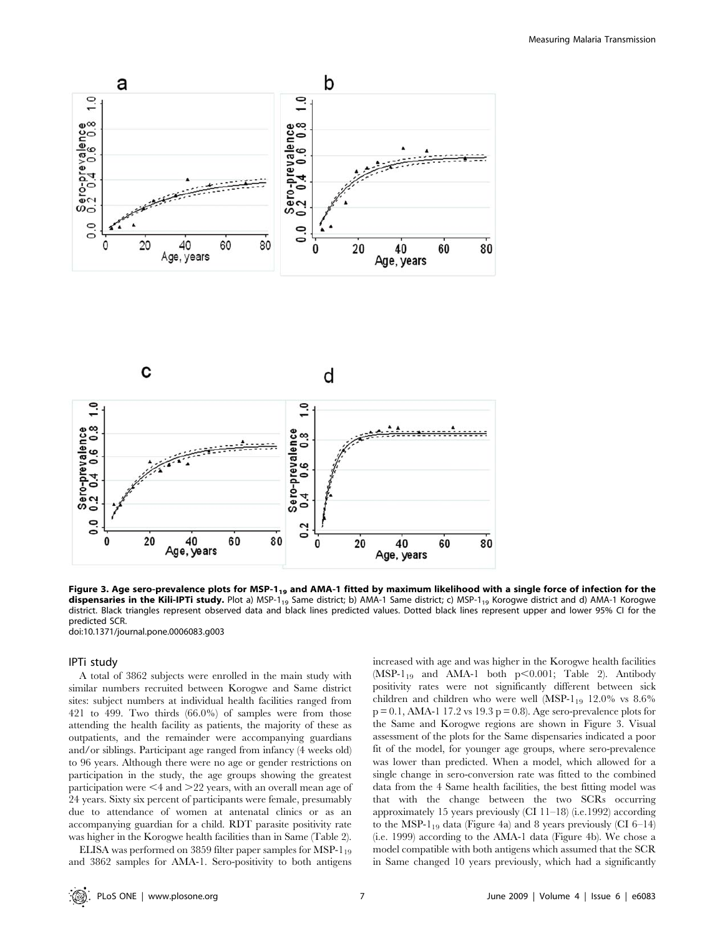



Figure 3. Age sero-prevalence plots for MSP-1<sub>19</sub> and AMA-1 fitted by maximum likelihood with a single force of infection for the dispensaries in the Kili-IPTi study. Plot a) MSP-1<sub>19</sub> Same district; b) AMA-1 Same district; c) MSP-1<sub>19</sub> Korogwe district and d) AMA-1 Korogwe district. Black triangles represent observed data and black lines predicted values. Dotted black lines represent upper and lower 95% CI for the predicted SCR. doi:10.1371/journal.pone.0006083.g003

#### IPTi study

A total of 3862 subjects were enrolled in the main study with similar numbers recruited between Korogwe and Same district sites: subject numbers at individual health facilities ranged from 421 to 499. Two thirds (66.0%) of samples were from those attending the health facility as patients, the majority of these as outpatients, and the remainder were accompanying guardians and/or siblings. Participant age ranged from infancy (4 weeks old) to 96 years. Although there were no age or gender restrictions on participation in the study, the age groups showing the greatest participation were  $\leq 4$  and  $\geq 22$  years, with an overall mean age of 24 years. Sixty six percent of participants were female, presumably due to attendance of women at antenatal clinics or as an accompanying guardian for a child. RDT parasite positivity rate was higher in the Korogwe health facilities than in Same (Table 2).

ELISA was performed on 3859 filter paper samples for MSP- $1_{19}$ and 3862 samples for AMA-1. Sero-positivity to both antigens increased with age and was higher in the Korogwe health facilities (MSP-1<sub>19</sub> and AMA-1 both  $p<0.001$ ; Table 2). Antibody positivity rates were not significantly different between sick children and children who were well (MSP-1<sub>19</sub> 12.0% vs  $8.6\%$  $p = 0.1$ , AMA-1 17.2 vs 19.3  $p = 0.8$ ). Age sero-prevalence plots for the Same and Korogwe regions are shown in Figure 3. Visual assessment of the plots for the Same dispensaries indicated a poor fit of the model, for younger age groups, where sero-prevalence was lower than predicted. When a model, which allowed for a single change in sero-conversion rate was fitted to the combined data from the 4 Same health facilities, the best fitting model was that with the change between the two SCRs occurring approximately 15 years previously (CI 11–18) (i.e.1992) according to the MSP-1<sub>19</sub> data (Figure 4a) and 8 years previously (CI 6–14) (i.e. 1999) according to the AMA-1 data (Figure 4b). We chose a model compatible with both antigens which assumed that the SCR in Same changed 10 years previously, which had a significantly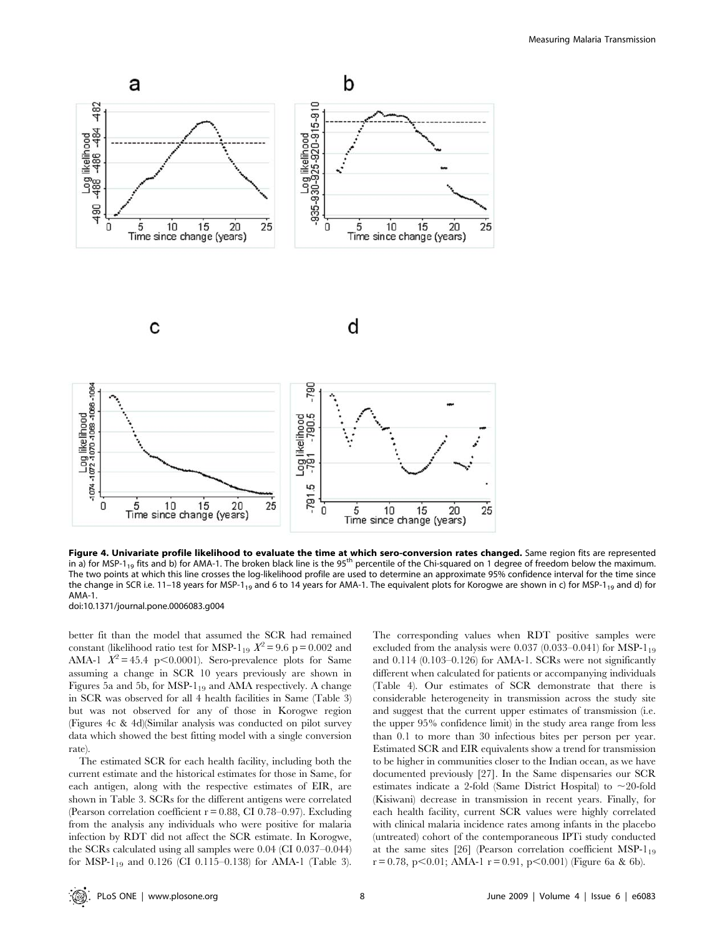

Figure 4. Univariate profile likelihood to evaluate the time at which sero-conversion rates changed. Same region fits are represented in a) for MSP-1<sub>19</sub> fits and b) for AMA-1. The broken black line is the 95<sup>th</sup> percentile of the Chi-squared on 1 degree of freedom below the maximum. The two points at which this line crosses the log-likelihood profile are used to determine an approximate 95% confidence interval for the time since the change in SCR i.e. 11–18 years for MSP-1<sub>19</sub> and 6 to 14 years for AMA-1. The equivalent plots for Korogwe are shown in c) for MSP-1<sub>19</sub> and d) for AMA-1.

doi:10.1371/journal.pone.0006083.g004

better fit than the model that assumed the SCR had remained constant (likelihood ratio test for MSP-1<sub>19</sub>  $X^2 = 9.6$  p = 0.002 and AMA-1  $X^2 = 45.4$  p $\leq 0.0001$ ). Sero-prevalence plots for Same assuming a change in SCR 10 years previously are shown in Figures 5a and 5b, for MSP- $1_{19}$  and AMA respectively. A change in SCR was observed for all 4 health facilities in Same (Table 3) but was not observed for any of those in Korogwe region (Figures 4c & 4d)(Similar analysis was conducted on pilot survey data which showed the best fitting model with a single conversion rate).

The estimated SCR for each health facility, including both the current estimate and the historical estimates for those in Same, for each antigen, along with the respective estimates of EIR, are shown in Table 3. SCRs for the different antigens were correlated (Pearson correlation coefficient  $r = 0.88$ , CI 0.78–0.97). Excluding from the analysis any individuals who were positive for malaria infection by RDT did not affect the SCR estimate. In Korogwe, the SCRs calculated using all samples were 0.04 (CI 0.037–0.044) for MSP- $1_{19}$  and 0.126 (CI 0.115–0.138) for AMA-1 (Table 3).

The corresponding values when RDT positive samples were excluded from the analysis were  $0.037$  (0.033–0.041) for MSP-1<sub>19</sub> and 0.114 (0.103–0.126) for AMA-1. SCRs were not significantly different when calculated for patients or accompanying individuals (Table 4). Our estimates of SCR demonstrate that there is considerable heterogeneity in transmission across the study site and suggest that the current upper estimates of transmission (i.e. the upper 95% confidence limit) in the study area range from less than 0.1 to more than 30 infectious bites per person per year. Estimated SCR and EIR equivalents show a trend for transmission to be higher in communities closer to the Indian ocean, as we have documented previously [27]. In the Same dispensaries our SCR estimates indicate a 2-fold (Same District Hospital) to  $\sim$ 20-fold (Kisiwani) decrease in transmission in recent years. Finally, for each health facility, current SCR values were highly correlated with clinical malaria incidence rates among infants in the placebo (untreated) cohort of the contemporaneous IPTi study conducted at the same sites [26] (Pearson correlation coefficient MSP- $1_{19}$  $r = 0.78$ , p $< 0.01$ ; AMA-1  $r = 0.91$ , p $< 0.001$ ) (Figure 6a & 6b).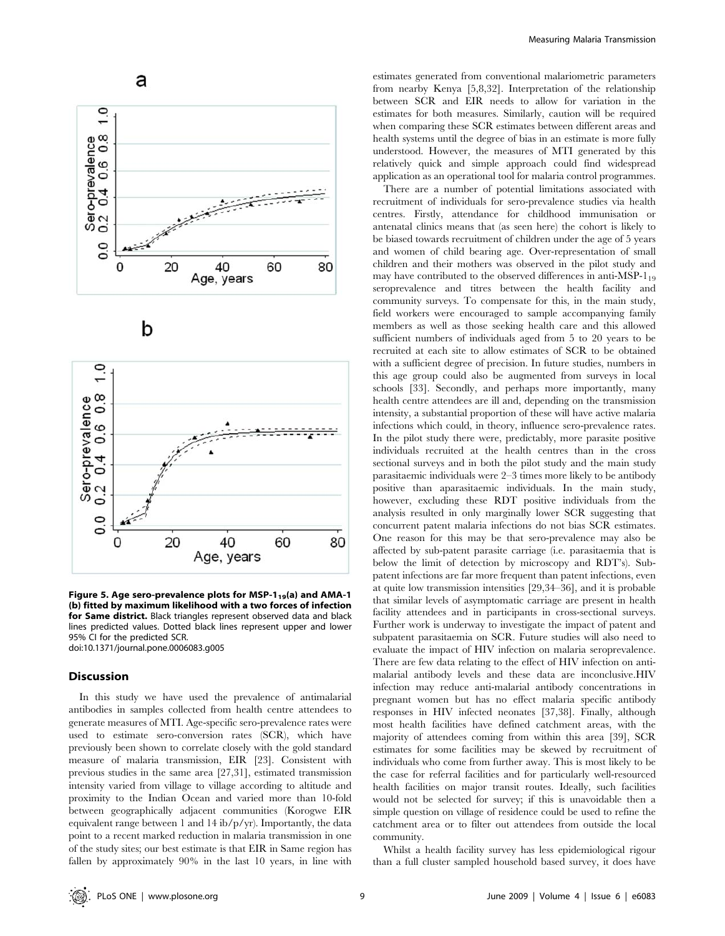





Figure 5. Age sero-prevalence plots for MSP-1 $_{19}$ (a) and AMA-1 (b) fitted by maximum likelihood with a two forces of infection **for Same district.** Black triangles represent observed data and black lines predicted values. Dotted black lines represent upper and lower 95% CI for the predicted SCR. doi:10.1371/journal.pone.0006083.g005

### **Discussion**

In this study we have used the prevalence of antimalarial antibodies in samples collected from health centre attendees to generate measures of MTI. Age-specific sero-prevalence rates were used to estimate sero-conversion rates (SCR), which have previously been shown to correlate closely with the gold standard measure of malaria transmission, EIR [23]. Consistent with previous studies in the same area [27,31], estimated transmission intensity varied from village to village according to altitude and proximity to the Indian Ocean and varied more than 10-fold between geographically adjacent communities (Korogwe EIR equivalent range between 1 and 14 ib/p/yr). Importantly, the data point to a recent marked reduction in malaria transmission in one of the study sites; our best estimate is that EIR in Same region has fallen by approximately 90% in the last 10 years, in line with estimates generated from conventional malariometric parameters from nearby Kenya [5,8,32]. Interpretation of the relationship between SCR and EIR needs to allow for variation in the estimates for both measures. Similarly, caution will be required when comparing these SCR estimates between different areas and health systems until the degree of bias in an estimate is more fully understood. However, the measures of MTI generated by this relatively quick and simple approach could find widespread application as an operational tool for malaria control programmes.

There are a number of potential limitations associated with recruitment of individuals for sero-prevalence studies via health centres. Firstly, attendance for childhood immunisation or antenatal clinics means that (as seen here) the cohort is likely to be biased towards recruitment of children under the age of 5 years and women of child bearing age. Over-representation of small children and their mothers was observed in the pilot study and may have contributed to the observed differences in anti-MSP- $1_{19}$ seroprevalence and titres between the health facility and community surveys. To compensate for this, in the main study, field workers were encouraged to sample accompanying family members as well as those seeking health care and this allowed sufficient numbers of individuals aged from 5 to 20 years to be recruited at each site to allow estimates of SCR to be obtained with a sufficient degree of precision. In future studies, numbers in this age group could also be augmented from surveys in local schools [33]. Secondly, and perhaps more importantly, many health centre attendees are ill and, depending on the transmission intensity, a substantial proportion of these will have active malaria infections which could, in theory, influence sero-prevalence rates. In the pilot study there were, predictably, more parasite positive individuals recruited at the health centres than in the cross sectional surveys and in both the pilot study and the main study parasitaemic individuals were 2–3 times more likely to be antibody positive than aparasitaemic individuals. In the main study, however, excluding these RDT positive individuals from the analysis resulted in only marginally lower SCR suggesting that concurrent patent malaria infections do not bias SCR estimates. One reason for this may be that sero-prevalence may also be affected by sub-patent parasite carriage (i.e. parasitaemia that is below the limit of detection by microscopy and RDT's). Subpatent infections are far more frequent than patent infections, even at quite low transmission intensities [29,34–36], and it is probable that similar levels of asymptomatic carriage are present in health facility attendees and in participants in cross-sectional surveys. Further work is underway to investigate the impact of patent and subpatent parasitaemia on SCR. Future studies will also need to evaluate the impact of HIV infection on malaria seroprevalence. There are few data relating to the effect of HIV infection on antimalarial antibody levels and these data are inconclusive.HIV infection may reduce anti-malarial antibody concentrations in pregnant women but has no effect malaria specific antibody responses in HIV infected neonates [37,38]. Finally, although most health facilities have defined catchment areas, with the majority of attendees coming from within this area [39], SCR estimates for some facilities may be skewed by recruitment of individuals who come from further away. This is most likely to be the case for referral facilities and for particularly well-resourced health facilities on major transit routes. Ideally, such facilities would not be selected for survey; if this is unavoidable then a simple question on village of residence could be used to refine the catchment area or to filter out attendees from outside the local community.

Whilst a health facility survey has less epidemiological rigour than a full cluster sampled household based survey, it does have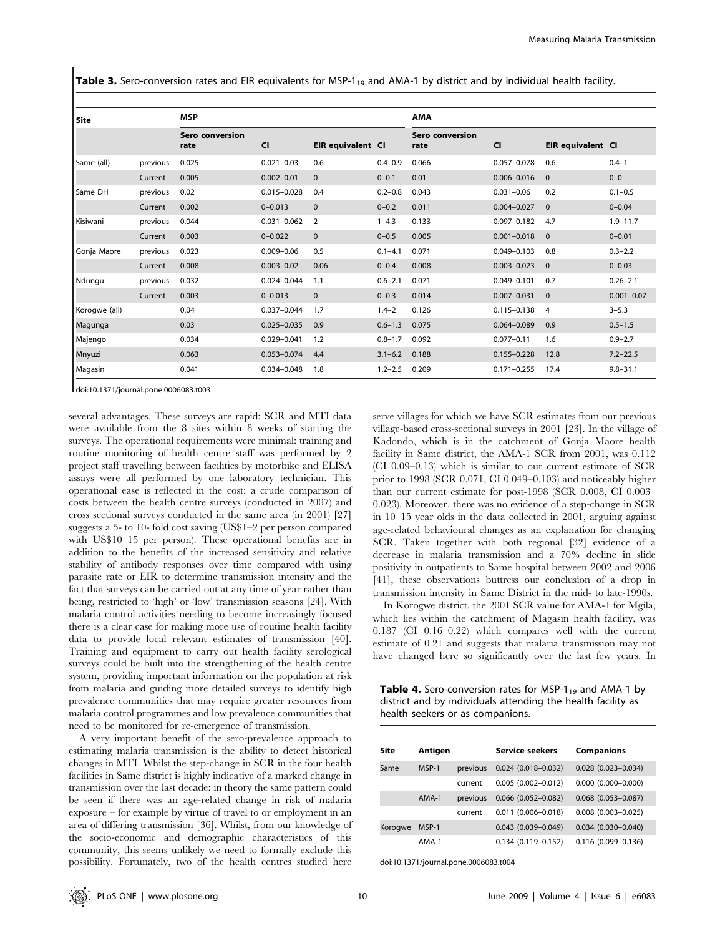Table 3. Sero-conversion rates and EIR equivalents for MSP-1<sub>19</sub> and AMA-1 by district and by individual health facility.

| Site            |          | <b>MSP</b>                     |                 |                   |             | <b>AMA</b>                     |                 |                   |                |
|-----------------|----------|--------------------------------|-----------------|-------------------|-------------|--------------------------------|-----------------|-------------------|----------------|
|                 |          | <b>Sero conversion</b><br>rate | <b>CI</b>       | EIR equivalent CI |             | <b>Sero conversion</b><br>rate | <b>CI</b>       | EIR equivalent CI |                |
| Same (all)      | previous | 0.025                          | $0.021 - 0.03$  | 0.6               | $0.4 - 0.9$ | 0.066                          | $0.057 - 0.078$ | 0.6               | $0.4 - 1$      |
|                 | Current  | 0.005                          | $0.002 - 0.01$  | $\mathbf{0}$      | $0 - 0.1$   | 0.01                           | $0.006 - 0.016$ | $\Omega$          | $0 - 0$        |
| Same DH         | previous | 0.02                           | $0.015 - 0.028$ | 0.4               | $0.2 - 0.8$ | 0.043                          | $0.031 - 0.06$  | 0.2               | $0.1 - 0.5$    |
|                 | Current  | 0.002                          | $0 - 0.013$     | $\mathbf{0}$      | $0 - 0.2$   | 0.011                          | $0.004 - 0.027$ | $\Omega$          | $0 - 0.04$     |
| <b>Kisiwani</b> | previous | 0.044                          | $0.031 - 0.062$ | 2                 | $1 - 4.3$   | 0.133                          | $0.097 - 0.182$ | 4.7               | $1.9 - 11.7$   |
|                 | Current  | 0.003                          | $0 - 0.022$     | $\mathbf{0}$      | $0 - 0.5$   | 0.005                          | $0.001 - 0.018$ | $\overline{0}$    | $0 - 0.01$     |
| Gonja Maore     | previous | 0.023                          | $0.009 - 0.06$  | 0.5               | $0.1 - 4.1$ | 0.071                          | $0.049 - 0.103$ | 0.8               | $0.3 - 2.2$    |
|                 | Current  | 0.008                          | $0.003 - 0.02$  | 0.06              | $0 - 0.4$   | 0.008                          | $0.003 - 0.023$ | $\Omega$          | $0 - 0.03$     |
| Ndungu          | previous | 0.032                          | $0.024 - 0.044$ | 1.1               | $0.6 - 2.1$ | 0.071                          | $0.049 - 0.101$ | 0.7               | $0.26 - 2.1$   |
|                 | Current  | 0.003                          | $0 - 0.013$     | $\mathbf{0}$      | $0 - 0.3$   | 0.014                          | $0.007 - 0.031$ | $\Omega$          | $0.001 - 0.07$ |
| Korogwe (all)   |          | 0.04                           | $0.037 - 0.044$ | 1.7               | $1.4 - 2$   | 0.126                          | $0.115 - 0.138$ | 4                 | $3 - 5.3$      |
| Magunga         |          | 0.03                           | $0.025 - 0.035$ | 0.9               | $0.6 - 1.3$ | 0.075                          | $0.064 - 0.089$ | 0.9               | $0.5 - 1.5$    |
| Majengo         |          | 0.034                          | $0.029 - 0.041$ | 1.2               | $0.8 - 1.7$ | 0.092                          | $0.077 - 0.11$  | 1.6               | $0.9 - 2.7$    |
| Mnyuzi          |          | 0.063                          | $0.053 - 0.074$ | 4.4               | $3.1 - 6.2$ | 0.188                          | $0.155 - 0.228$ | 12.8              | $7.2 - 22.5$   |
| Magasin         |          | 0.041                          | $0.034 - 0.048$ | 1.8               | $1.2 - 2.5$ | 0.209                          | $0.171 - 0.255$ | 17.4              | $9.8 - 31.1$   |

doi:10.1371/journal.pone.0006083.t003

several advantages. These surveys are rapid: SCR and MTI data were available from the 8 sites within 8 weeks of starting the surveys. The operational requirements were minimal: training and routine monitoring of health centre staff was performed by 2 project staff travelling between facilities by motorbike and ELISA assays were all performed by one laboratory technician. This operational ease is reflected in the cost; a crude comparison of costs between the health centre surveys (conducted in 2007) and cross sectional surveys conducted in the same area (in 2001) [27] suggests a 5- to 10- fold cost saving (US\$1–2 per person compared with US\$10–15 per person). These operational benefits are in addition to the benefits of the increased sensitivity and relative stability of antibody responses over time compared with using parasite rate or EIR to determine transmission intensity and the fact that surveys can be carried out at any time of year rather than being, restricted to 'high' or 'low' transmission seasons [24]. With malaria control activities needing to become increasingly focused there is a clear case for making more use of routine health facility data to provide local relevant estimates of transmission [40]. Training and equipment to carry out health facility serological surveys could be built into the strengthening of the health centre system, providing important information on the population at risk from malaria and guiding more detailed surveys to identify high prevalence communities that may require greater resources from malaria control programmes and low prevalence communities that need to be monitored for re-emergence of transmission.

A very important benefit of the sero-prevalence approach to estimating malaria transmission is the ability to detect historical changes in MTI. Whilst the step-change in SCR in the four health facilities in Same district is highly indicative of a marked change in transmission over the last decade; in theory the same pattern could be seen if there was an age-related change in risk of malaria exposure – for example by virtue of travel to or employment in an area of differing transmission [36]. Whilst, from our knowledge of the socio-economic and demographic characteristics of this community, this seems unlikely we need to formally exclude this possibility. Fortunately, two of the health centres studied here

serve villages for which we have SCR estimates from our previous village-based cross-sectional surveys in 2001 [23]. In the village of Kadondo, which is in the catchment of Gonja Maore health facility in Same district, the AMA-1 SCR from 2001, was 0.112 (CI 0.09–0.13) which is similar to our current estimate of SCR prior to 1998 (SCR 0.071, CI 0.049–0.103) and noticeably higher than our current estimate for post-1998 (SCR 0.008, CI 0.003– 0.023). Moreover, there was no evidence of a step-change in SCR in 10–15 year olds in the data collected in 2001, arguing against age-related behavioural changes as an explanation for changing SCR. Taken together with both regional [32] evidence of a decrease in malaria transmission and a 70% decline in slide positivity in outpatients to Same hospital between 2002 and 2006 [41], these observations buttress our conclusion of a drop in transmission intensity in Same District in the mid- to late-1990s.

In Korogwe district, the 2001 SCR value for AMA-1 for Mgila, which lies within the catchment of Magasin health facility, was 0.187 (CI 0.16–0.22) which compares well with the current estimate of 0.21 and suggests that malaria transmission may not have changed here so significantly over the last few years. In

| <b>Table 4.</b> Sero-conversion rates for MSP-1 <sub>19</sub> and AMA-1 by |
|----------------------------------------------------------------------------|
| district and by individuals attending the health facility as               |
| health seekers or as companions.                                           |

| Site    | Antigen |          | Service seekers           | <b>Companions</b>         |
|---------|---------|----------|---------------------------|---------------------------|
| Same    | MSP-1   | previous | $0.024$ (0.018-0.032)     | $0.028$ (0.023-0.034)     |
|         |         | current  | $0.005(0.002 - 0.012)$    | $0.000(0.000 - 0.000)$    |
|         | $AMA-1$ | previous | $0.066$ (0.052-0.082)     | $0.068$ (0.053-0.087)     |
|         |         | current  | $0.011(0.006 - 0.018)$    | $0.008$ $(0.003 - 0.025)$ |
| Korogwe | MSP-1   |          | $0.043$ $(0.039 - 0.049)$ | $0.034$ (0.030-0.040)     |
|         | AMA-1   |          | $0.134(0.119 - 0.152)$    | $0.116(0.099 - 0.136)$    |

doi:10.1371/journal.pone.0006083.t004

 $\overline{\phantom{a}}$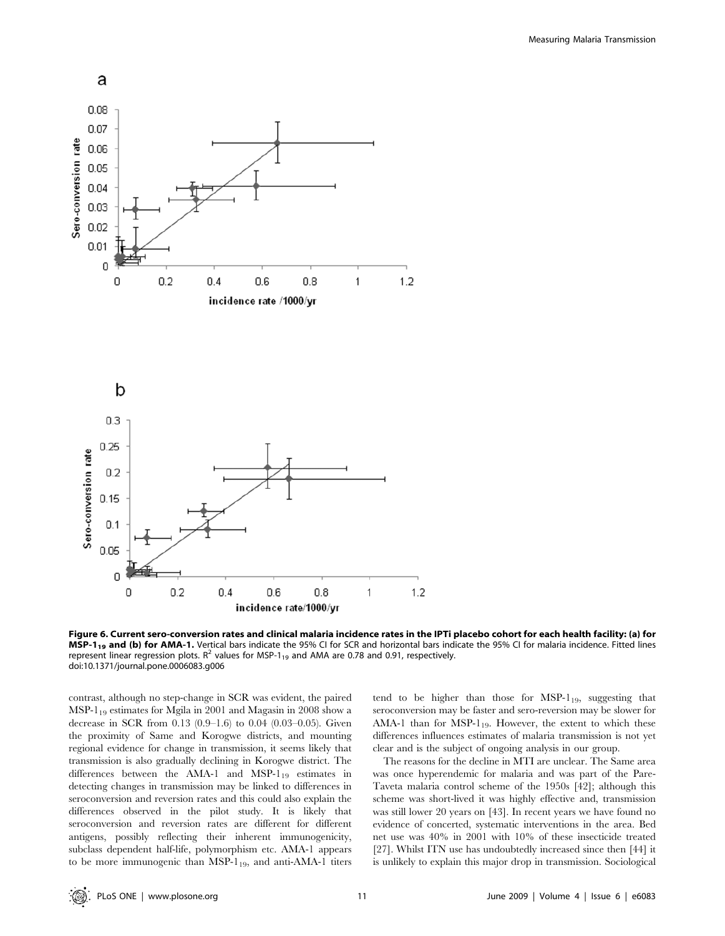

Figure 6. Current sero-conversion rates and clinical malaria incidence rates in the IPTi placebo cohort for each health facility: (a) for MSP-1<sub>19</sub> and (b) for AMA-1. Vertical bars indicate the 95% CI for SCR and horizontal bars indicate the 95% CI for malaria incidence. Fitted lines represent linear regression plots.  $R^2$  values for MSP-1<sub>19</sub> and AMA are 0.78 and 0.91, respectively. doi:10.1371/journal.pone.0006083.g006

contrast, although no step-change in SCR was evident, the paired MSP-1<sub>19</sub> estimates for Mgila in 2001 and Magasin in 2008 show a decrease in SCR from 0.13 (0.9–1.6) to 0.04 (0.03–0.05). Given the proximity of Same and Korogwe districts, and mounting regional evidence for change in transmission, it seems likely that transmission is also gradually declining in Korogwe district. The differences between the AMA-1 and MSP-1<sub>19</sub> estimates in detecting changes in transmission may be linked to differences in seroconversion and reversion rates and this could also explain the differences observed in the pilot study. It is likely that seroconversion and reversion rates are different for different antigens, possibly reflecting their inherent immunogenicity, subclass dependent half-life, polymorphism etc. AMA-1 appears to be more immunogenic than MSP-119, and anti-AMA-1 titers

tend to be higher than those for  $MSP-1_{19}$ , suggesting that seroconversion may be faster and sero-reversion may be slower for AMA-1 than for MSP- $1_{19}$ . However, the extent to which these differences influences estimates of malaria transmission is not yet clear and is the subject of ongoing analysis in our group.

The reasons for the decline in MTI are unclear. The Same area was once hyperendemic for malaria and was part of the Pare-Taveta malaria control scheme of the 1950s [42]; although this scheme was short-lived it was highly effective and, transmission was still lower 20 years on [43]. In recent years we have found no evidence of concerted, systematic interventions in the area. Bed net use was 40% in 2001 with 10% of these insecticide treated [27]. Whilst ITN use has undoubtedly increased since then [44] it is unlikely to explain this major drop in transmission. Sociological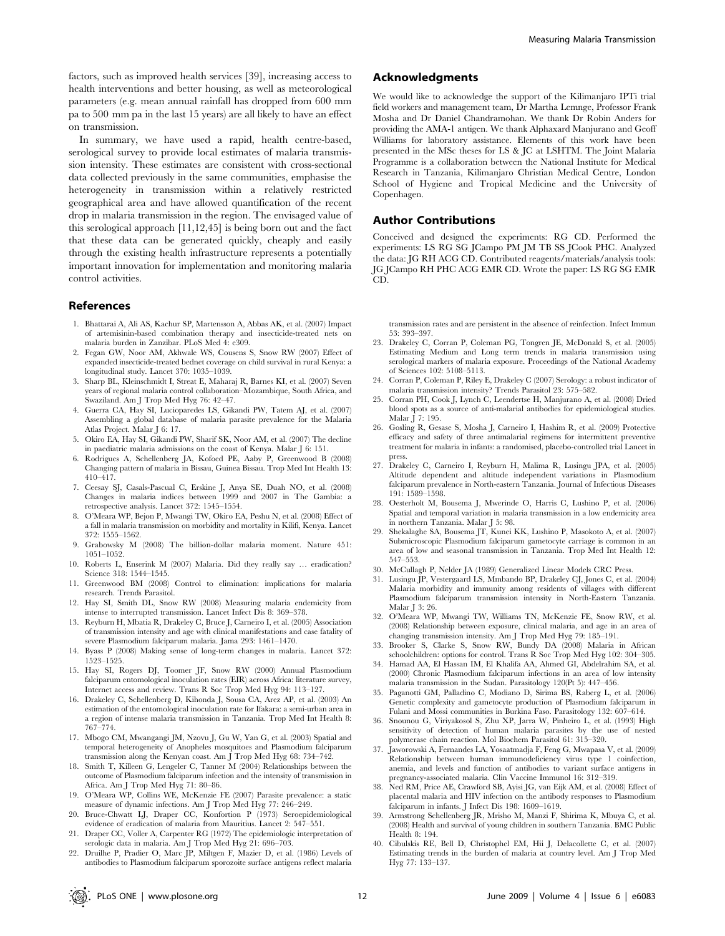factors, such as improved health services [39], increasing access to health interventions and better housing, as well as meteorological parameters (e.g. mean annual rainfall has dropped from 600 mm pa to 500 mm pa in the last 15 years) are all likely to have an effect on transmission.

In summary, we have used a rapid, health centre-based, serological survey to provide local estimates of malaria transmission intensity. These estimates are consistent with cross-sectional data collected previously in the same communities, emphasise the heterogeneity in transmission within a relatively restricted geographical area and have allowed quantification of the recent drop in malaria transmission in the region. The envisaged value of this serological approach [11,12,45] is being born out and the fact that these data can be generated quickly, cheaply and easily through the existing health infrastructure represents a potentially important innovation for implementation and monitoring malaria control activities.

#### References

- 1. Bhattarai A, Ali AS, Kachur SP, Martensson A, Abbas AK, et al. (2007) Impact of artemisinin-based combination therapy and insecticide-treated nets on malaria burden in Zanzibar. PLoS Med 4: e309.
- 2. Fegan GW, Noor AM, Akhwale WS, Cousens S, Snow RW (2007) Effect of expanded insecticide-treated bednet coverage on child survival in rural Kenya: a longitudinal study. Lancet 370: 1035–1039.
- 3. Sharp BL, Kleinschmidt I, Streat E, Maharaj R, Barnes KI, et al. (2007) Seven years of regional malaria control collaboration–Mozambique, South Africa, and Swaziland. Am J Trop Med Hyg 76: 42–47.
- 4. Guerra CA, Hay SI, Lucioparedes LS, Gikandi PW, Tatem AJ, et al. (2007) Assembling a global database of malaria parasite prevalence for the Malaria Atlas Project. Malar J 6: 17.
- 5. Okiro EA, Hay SI, Gikandi PW, Sharif SK, Noor AM, et al. (2007) The decline in paediatric malaria admissions on the coast of Kenya. Malar J 6: 151.
- 6. Rodrigues A, Schellenberg JA, Kofoed PE, Aaby P, Greenwood B (2008) Changing pattern of malaria in Bissau, Guinea Bissau. Trop Med Int Health 13: 410–417.
- 7. Ceesay SJ, Casals-Pascual C, Erskine J, Anya SE, Duah NO, et al. (2008) Changes in malaria indices between 1999 and 2007 in The Gambia: a retrospective analysis. Lancet 372: 1545–1554.
- 8. O'Meara WP, Bejon P, Mwangi TW, Okiro EA, Peshu N, et al. (2008) Effect of a fall in malaria transmission on morbidity and mortality in Kilifi, Kenya. Lancet 372: 1555–1562.
- 9. Grabowsky M (2008) The billion-dollar malaria moment. Nature 451: 1051–1052.
- 10. Roberts L, Enserink M (2007) Malaria. Did they really say … eradication? Science 318: 1544–1545.
- 11. Greenwood BM (2008) Control to elimination: implications for malaria research. Trends Parasitol.
- 12. Hay SI, Smith DL, Snow RW (2008) Measuring malaria endemicity from intense to interrupted transmission. Lancet Infect Dis 8: 369–378.
- 13. Reyburn H, Mbatia R, Drakeley C, Bruce J, Carneiro I, et al. (2005) Association of transmission intensity and age with clinical manifestations and case fatality of severe Plasmodium falciparum malaria. Jama 293: 1461–1470.
- 14. Byass P (2008) Making sense of long-term changes in malaria. Lancet 372: 1523–1525.
- 15. Hay SI, Rogers DJ, Toomer JF, Snow RW (2000) Annual Plasmodium falciparum entomological inoculation rates (EIR) across Africa: literature survey, Internet access and review. Trans R Soc Trop Med Hyg 94: 113–127.
- 16. Drakeley C, Schellenberg D, Kihonda J, Sousa CA, Arez AP, et al. (2003) An estimation of the entomological inoculation rate for Ifakara: a semi-urban area in a region of intense malaria transmission in Tanzania. Trop Med Int Health 8: 767–774.
- 17. Mbogo CM, Mwangangi JM, Nzovu J, Gu W, Yan G, et al. (2003) Spatial and temporal heterogeneity of Anopheles mosquitoes and Plasmodium falciparum transmission along the Kenyan coast. Am J Trop Med Hyg 68: 734–742.
- 18. Smith T, Killeen G, Lengeler C, Tanner M (2004) Relationships between the outcome of Plasmodium falciparum infection and the intensity of transmission in Africa. Am J Trop Med Hyg 71: 80–86.
- 19. O'Meara WP, Collins WE, McKenzie FE (2007) Parasite prevalence: a static measure of dynamic infections. Am J Trop Med Hyg 77: 246–249.
- 20. Bruce-Chwatt LJ, Draper CC, Konfortion P (1973) Seroepidemiological evidence of eradication of malaria from Mauritius. Lancet 2: 547–551.
- 21. Draper CC, Voller A, Carpenter RG (1972) The epidemiologic interpretation of serologic data in malaria. Am J Trop Med Hyg 21: 696–703. 22. Druilhe P, Pradier O, Marc JP, Miltgen F, Mazier D, et al. (1986) Levels of

antibodies to Plasmodium falciparum sporozoite surface antigens reflect malaria

Measuring Malaria Transmission

## Acknowledgments

We would like to acknowledge the support of the Kilimanjaro IPTi trial field workers and management team, Dr Martha Lemnge, Professor Frank Mosha and Dr Daniel Chandramohan. We thank Dr Robin Anders for providing the AMA-1 antigen. We thank Alphaxard Manjurano and Geoff Williams for laboratory assistance. Elements of this work have been presented in the MSc theses for LS & JC at LSHTM. The Joint Malaria Programme is a collaboration between the National Institute for Medical Research in Tanzania, Kilimanjaro Christian Medical Centre, London School of Hygiene and Tropical Medicine and the University of Copenhagen.

## Author Contributions

Conceived and designed the experiments: RG CD. Performed the experiments: LS RG SG JCampo PM JM TB SS JCook PHC. Analyzed the data: JG RH ACG CD. Contributed reagents/materials/analysis tools: JG JCampo RH PHC ACG EMR CD. Wrote the paper: LS RG SG EMR CD.

transmission rates and are persistent in the absence of reinfection. Infect Immun 53: 393–397.

- 23. Drakeley C, Corran P, Coleman PG, Tongren JE, McDonald S, et al. (2005) Estimating Medium and Long term trends in malaria transmission using serological markers of malaria exposure. Proceedings of the National Academy of Sciences 102: 5108–5113.
- 24. Corran P, Coleman P, Riley E, Drakeley C (2007) Serology: a robust indicator of malaria transmission intensity? Trends Parasitol 23: 575–582.
- 25. Corran PH, Cook J, Lynch C, Leendertse H, Manjurano A, et al. (2008) Dried blood spots as a source of anti-malarial antibodies for epidemiological studies. Malar  $\hat{I}$  7: 195.
- 26. Gosling R, Gesase S, Mosha J, Carneiro I, Hashim R, et al. (2009) Protective efficacy and safety of three antimalarial regimens for intermittent preventive treatment for malaria in infants: a randomised, placebo-controlled trial Lancet in press.
- 27. Drakeley C, Carneiro I, Reyburn H, Malima R, Lusingu JPA, et al. (2005) Altitude dependent and altitude independent variations in Plasmodium falciparum prevalence in North-eastern Tanzania. Journal of Infectious Diseases 191: 1589–1598.
- 28. Oesterholt M, Bousema J, Mwerinde O, Harris C, Lushino P, et al. (2006) Spatial and temporal variation in malaria transmission in a low endemicity area in northern Tanzania. Malar J 5: 98.
- 29. Shekalaghe SA, Bousema JT, Kunei KK, Lushino P, Masokoto A, et al. (2007) Submicroscopic Plasmodium falciparum gametocyte carriage is common in an area of low and seasonal transmission in Tanzania. Trop Med Int Health 12: 547–553.
- 30. McCullagh P, Nelder JA (1989) Generalized Linear Models CRC Press.
- 31. Lusingu JP, Vestergaard LS, Mmbando BP, Drakeley CJ, Jones C, et al. (2004) Malaria morbidity and immunity among residents of villages with different Plasmodium falciparum transmission intensity in North-Eastern Tanzania. Malar J 3: 26.
- 32. O'Meara WP, Mwangi TW, Williams TN, McKenzie FE, Snow RW, et al. (2008) Relationship between exposure, clinical malaria, and age in an area of changing transmission intensity. Am J Trop Med Hyg 79: 185–191.
- 33. Brooker S, Clarke S, Snow RW, Bundy DA (2008) Malaria in African schoolchildren: options for control. Trans R Soc Trop Med Hyg 102: 304–305.
- 34. Hamad AA, El Hassan IM, El Khalifa AA, Ahmed GI, Abdelrahim SA, et al. (2000) Chronic Plasmodium falciparum infections in an area of low intensity malaria transmission in the Sudan. Parasitology 120(Pt 5): 447–456.
- 35. Paganotti GM, Palladino C, Modiano D, Sirima BS, Raberg L, et al. (2006) Genetic complexity and gametocyte production of Plasmodium falciparum in Fulani and Mossi communities in Burkina Faso. Parasitology 132: 607–614.
- 36. Snounou G, Viriyakosol S, Zhu XP, Jarra W, Pinheiro L, et al. (1993) High sensitivity of detection of human malaria parasites by the use of nested polymerase chain reaction. Mol Biochem Parasitol 61: 315–320.
- 37. Jaworowski A, Fernandes LA, Yosaatmadja F, Feng G, Mwapasa V, et al. (2009) Relationship between human immunodeficiency virus type 1 coinfection, anemia, and levels and function of antibodies to variant surface antigens in pregnancy-associated malaria. Clin Vaccine Immunol 16: 312–319.
- 38. Ned RM, Price AE, Crawford SB, Ayisi JG, van Eijk AM, et al. (2008) Effect of placental malaria and HIV infection on the antibody responses to Plasmodium falciparum in infants. J Infect Dis 198: 1609–1619.
- 39. Armstrong Schellenberg JR, Mrisho M, Manzi F, Shirima K, Mbuya C, et al. (2008) Health and survival of young children in southern Tanzania. BMC Public Health 8: 194.
- 40. Cibulskis RE, Bell D, Christophel EM, Hii J, Delacollette C, et al. (2007) Estimating trends in the burden of malaria at country level. Am J Trop Med Hyg 77: 133–137.